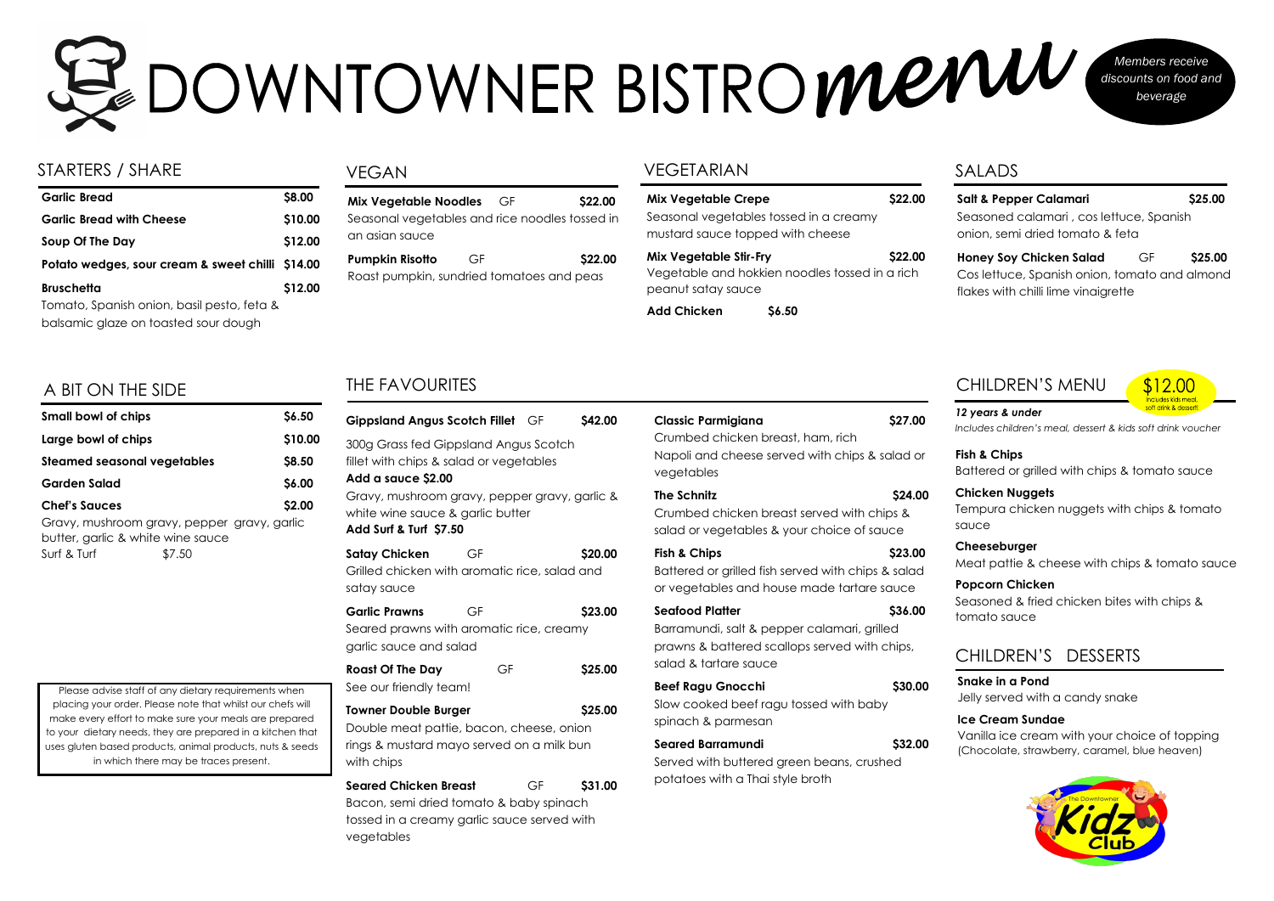# STARTERS / SHARE VEGETARIAN

| <b>Garlic Bread</b>                              | \$8.00  |
|--------------------------------------------------|---------|
| <b>Garlic Bread with Cheese</b>                  | \$10.00 |
| Soup Of The Day                                  | \$12.00 |
| Potato wedges, sour cream & sweet chilli \$14.00 |         |
| <b>Bruschetta</b>                                | \$12.00 |
| Tomato, Spanish onion, basil pesto, feta &       |         |
| balsamic glaze on toasted sour dough             |         |

# ZOOWNTOWNER BISTROMENU *Members receive discounts on food and beverage*

| <b>Mix Vegetable Crepe</b>        |                                                | <b>S22.00</b> |
|-----------------------------------|------------------------------------------------|---------------|
| mustard sauce topped with cheese  | Seasonal vegetables tossed in a creamy         |               |
| <b>Mix Vegetable Stir-Fry</b>     | Vegetable and hokkien noodles tossed in a rich | <b>S22.00</b> |
| peanut satay sauce<br>Add Chicken | ሪ 50                                           |               |

# A BIT ON THE SIDE

| <b>Small bowl of chips</b>                                                                      |        | <b>\$6.50</b> |
|-------------------------------------------------------------------------------------------------|--------|---------------|
| Large bowl of chips                                                                             |        | \$10.00       |
| <b>Steamed seasonal vegetables</b>                                                              |        | \$8.50        |
| <b>Garden Salad</b>                                                                             |        | \$6.00        |
| <b>Chef's Squces</b>                                                                            |        | \$2.00        |
| Gravy, mushroom gravy, pepper gravy, garlic<br>butter, garlic & white wine sauce<br>Surf & Turf | \$7.50 |               |

**Salt & Pepper Calamari \$25.00**  Seasoned calamari , cos lettuce, Spanish onion, semi dried tomato & feta

**Honey Soy Chicken Salad** GF **\$25.00**  Cos lettuce, Spanish onion, tomato and almond flakes with chilli lime vinaigrette

# THE FAVOURITES

| Gippsland Angus Scotch Fillet GF                                                                                                                                                                                      |    |    | <b>S42.00</b> |
|-----------------------------------------------------------------------------------------------------------------------------------------------------------------------------------------------------------------------|----|----|---------------|
| 300g Grass fed Gippsland Angus Scotch<br>fillet with chips & salad or vegetables<br>Add a sauce \$2.00<br>Gravy, mushroom gravy, pepper gravy, garlic &<br>white wine sauce & garlic butter<br>Add Surf & Turf \$7.50 |    |    |               |
| <b>Satay Chicken</b><br>Grilled chicken with aromatic rice, salad and<br>satay sauce                                                                                                                                  | GF |    | \$20.00       |
| <b>Garlic Prawns</b><br>Seared prawns with aromatic rice, creamy<br>garlic sauce and salad                                                                                                                            | GF |    | \$23.00       |
| <b>Roast Of The Day</b><br>See our friendly team!                                                                                                                                                                     | GF |    | <b>S25.00</b> |
| \$25.00<br><b>Towner Double Burger</b><br>Double meat pattie, bacon, cheese, onion<br>rings & mustard mayo served on a milk bun<br>with chips                                                                         |    |    |               |
| <b>Seared Chicken Breast</b>                                                                                                                                                                                          |    | GF | \$31.00       |

**Pumpkin Risotto** GF \$22.00 Roast pumpkin, sundried tomatoes and peas

Bacon, semi dried tomato & baby spinach tossed in a creamy garlic sauce served with vegetables

| <b>Classic Parmigiana</b><br>Crumbed chicken breast, ham, rich<br>Napoli and cheese served with chips & salad or<br>vegetables           | \$27.00       |
|------------------------------------------------------------------------------------------------------------------------------------------|---------------|
| <b>The Schnitz</b><br>Crumbed chicken breast served with chips &<br>salad or vegetables & your choice of sauce                           | <b>S24.00</b> |
| <b>Fish &amp; Chips</b><br>Battered or grilled fish served with chips & salad<br>or vegetables and house made tartare sauce              | \$23.00       |
| Seafood Platter<br>Barramundi, salt & pepper calamari, grilled<br>prawns & battered scallops served with chips,<br>salad & tartare sauce | \$36.00       |
| <b>Beef Ragu Gnocchi</b><br>Slow cooked beef ragu tossed with baby<br>spinach & parmesan                                                 | \$30.00       |
| <b>Seared Barramundi</b><br>Served with buttered green beans, crushed<br>potatoes with a Thai style broth                                | \$32.00       |

# SALADS

Please advise staff of any dietary requirements when placing your order. Please note that whilst our chefs will make every effort to make sure your meals are prepared to your dietary needs, they are prepared in a kitchen that uses gluten based products, animal products, nuts & seeds in which there may be traces present.

## VEGAN

| Mix Vegetable Noodles GF                       | \$22.00 |
|------------------------------------------------|---------|
| Seasonal vegetables and rice noodles tossed in |         |
| an asian sauce                                 |         |

# CHILDREN'S MENU

**Fish & Chips**  Battered or grilled with chips & tomato sauce

**Chicken Nuggets**  Tempura chicken nuggets with chips & tomato sauce

**Cheeseburger**  Meat pattie & cheese with chips & tomato sauce

**Popcorn Chicken**  Seasoned & fried chicken bites with chips & tomato sauce

*12 years & under Includes children's meal, dessert & kids soft drink voucher*

# CHILDREN'S DESSERTS

**Snake in a Pond**  Jelly served with a candy snake

## **Ice Cream Sundae**

Vanilla ice cream with your choice of topping (Chocolate, strawberry, caramel, blue heaven)